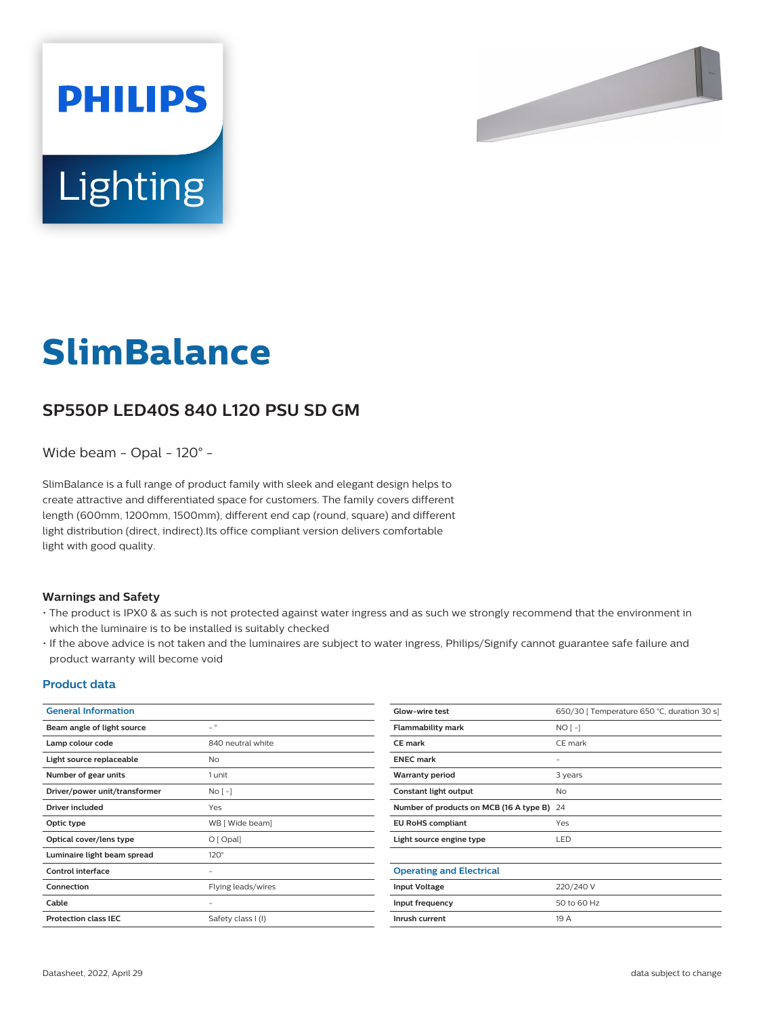

# **Lighting**

**PHILIPS** 

# **SlimBalance**

# **SP550P LED40S 840 L120 PSU SD GM**

Wide beam - Opal - 120° -

SlimBalance is a full range of product family with sleek and elegant design helps to create attractive and differentiated space for customers. The family covers different length (600mm, 1200mm, 1500mm), different end cap (round, square) and different light distribution (direct, indirect).Its office compliant version delivers comfortable light with good quality.

#### **Warnings and Safety**

- The product is IPX0 & as such is not protected against water ingress and as such we strongly recommend that the environment in which the luminaire is to be installed is suitably checked
- If the above advice is not taken and the luminaires are subject to water ingress, Philips/Signify cannot guarantee safe failure and product warranty will become void

#### **Product data**

| <b>General Information</b>    |                          | Glow-wire test                             | 650/30   Temperature 650 °C, duration 30 s] |
|-------------------------------|--------------------------|--------------------------------------------|---------------------------------------------|
| Beam angle of light source    | $ ^{\circ}$              | <b>Flammability mark</b>                   | $NO[-]$                                     |
| Lamp colour code              | 840 neutral white        | <b>CE mark</b>                             | CE mark                                     |
| Light source replaceable      | <b>No</b>                | <b>ENEC mark</b>                           | $\overline{\phantom{0}}$                    |
| Number of gear units          | 1 unit                   | <b>Warranty period</b>                     | 3 years                                     |
| Driver/power unit/transformer | $No[-]$                  | Constant light output                      | <b>No</b>                                   |
| <b>Driver included</b>        | Yes                      | Number of products on MCB (16 A type B) 24 |                                             |
| Optic type                    | WB [ Wide beam]          | <b>EU RoHS compliant</b>                   | Yes                                         |
| Optical cover/lens type       | $O$ [ Opal]              | Light source engine type                   | LED                                         |
| Luminaire light beam spread   | $120^\circ$              |                                            |                                             |
| <b>Control interface</b>      | $\overline{\phantom{0}}$ | <b>Operating and Electrical</b>            |                                             |
| Connection                    | Flying leads/wires       | <b>Input Voltage</b>                       | 220/240 V                                   |
| Cable                         | $\overline{\phantom{m}}$ | Input frequency                            | 50 to 60 Hz                                 |
| <b>Protection class IEC</b>   | Safety class I (I)       | Inrush current                             | 19 A                                        |
|                               |                          |                                            |                                             |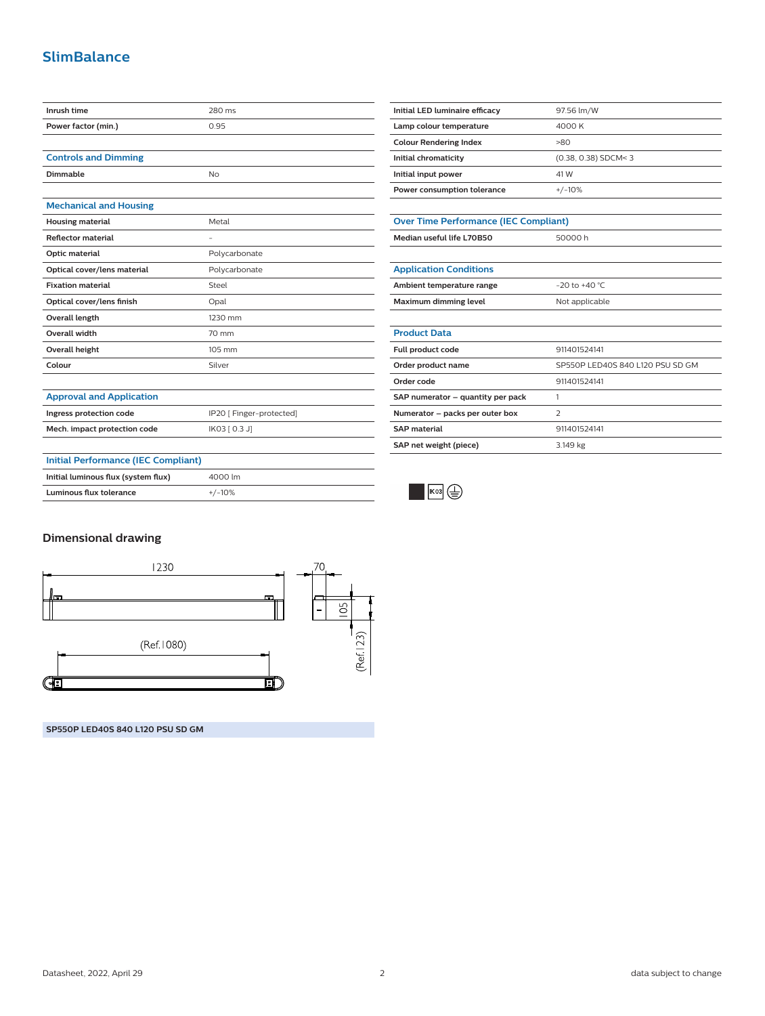# **SlimBalance**

| Inrush time                                | 280 ms                   |
|--------------------------------------------|--------------------------|
| Power factor (min.)                        | 0.95                     |
|                                            |                          |
| <b>Controls and Dimming</b>                |                          |
| Dimmable                                   | <b>No</b>                |
|                                            |                          |
| <b>Mechanical and Housing</b>              |                          |
| <b>Housing material</b>                    | Metal                    |
| <b>Reflector material</b>                  |                          |
| Optic material                             | Polycarbonate            |
| Optical cover/lens material                | Polycarbonate            |
| <b>Fixation material</b>                   | Steel                    |
| Optical cover/lens finish                  | Opal                     |
| Overall length                             | 1230 mm                  |
| Overall width                              | 70 mm                    |
| <b>Overall height</b>                      | 105 mm                   |
| Colour                                     | Silver                   |
|                                            |                          |
| <b>Approval and Application</b>            |                          |
| Ingress protection code                    | IP20 [ Finger-protected] |
| Mech. impact protection code               | IK03 [ 0.3 J]            |
|                                            |                          |
| <b>Initial Performance (IEC Compliant)</b> |                          |
| Initial luminous flux (system flux)        | 4000 lm                  |
| <b>Luminous flux tolerance</b>             | $+/-10%$                 |

| Initial LED luminaire efficacy | 97.56 lm/W             |
|--------------------------------|------------------------|
| Lamp colour temperature        | 4000 K                 |
| <b>Colour Rendering Index</b>  | -80                    |
| Initial chromaticity           | $(0.38, 0.38)$ SDCM< 3 |
| Initial input power            | 41 W                   |
| Power consumption tolerance    | $+/-10%$               |

| <b>Over Time Performance (IEC Compliant)</b> |         |  |  |
|----------------------------------------------|---------|--|--|
| Median useful life L70B50                    | 50000 h |  |  |
|                                              |         |  |  |

| <b>Application Conditions</b> |                    |  |
|-------------------------------|--------------------|--|
| Ambient temperature range     | $-20$ to $+40$ °C. |  |
| Maximum dimming level         | Not applicable     |  |

### **Product Data Full product code** 911401524141 **Order product name** SP550P LED40S 840 L120 PSU SD GM **Order code** 911401524141 **SAP numerator – quantity per pack** 1 **Numerator – packs per outer box** 2 **SAP material** 911401524141 **SAP net weight (piece)** 3.149 kg



#### **Dimensional drawing**



**SP550P LED40S 840 L120 PSU SD GM**